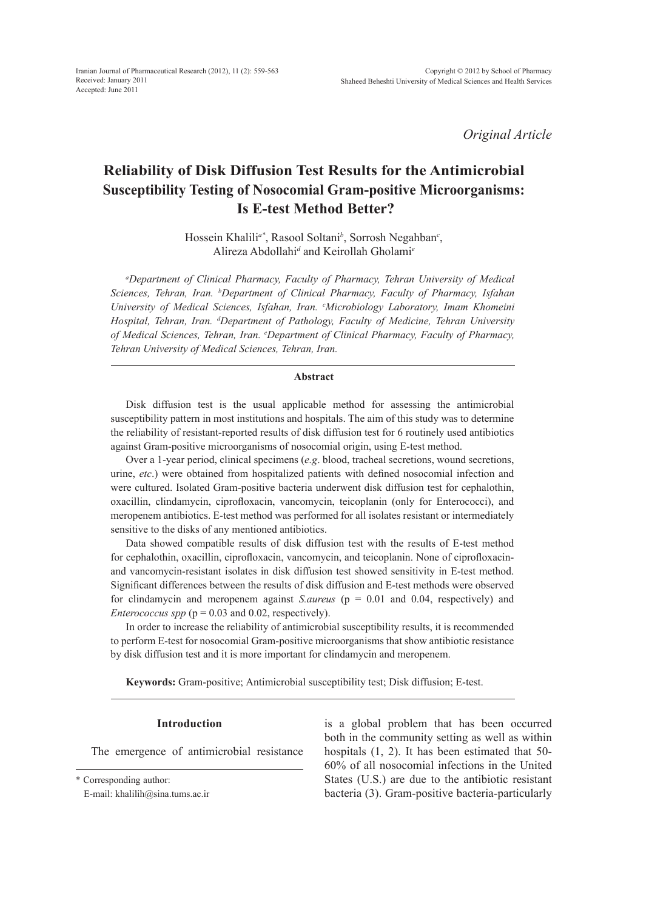*Original Article*

# **Reliability of Disk Diffusion Test Results for the Antimicrobial Susceptibility Testing of Nosocomial Gram-positive Microorganisms: Is E-test Method Better?**

Hossein Khalili*a\**, Rasool Soltani*<sup>b</sup>* , Sorrosh Negahban*<sup>c</sup>* , Alireza Abdollahi*<sup>d</sup>* and Keirollah Gholami*<sup>e</sup>*

*a Department of Clinical Pharmacy, Faculty of Pharmacy, Tehran University of Medical Sciences, Tehran, Iran. b Department of Clinical Pharmacy, Faculty of Pharmacy, Isfahan University of Medical Sciences, Isfahan, Iran. c Microbiology Laboratory, Imam Khomeini Hospital, Tehran, Iran. d Department of Pathology, Faculty of Medicine, Tehran University of Medical Sciences, Tehran, Iran. e Department of Clinical Pharmacy, Faculty of Pharmacy, Tehran University of Medical Sciences, Tehran, Iran.*

## **Abstract**

Disk diffusion test is the usual applicable method for assessing the antimicrobial susceptibility pattern in most institutions and hospitals. The aim of this study was to determine the reliability of resistant-reported results of disk diffusion test for 6 routinely used antibiotics against Gram-positive microorganisms of nosocomial origin, using E-test method.

Over a 1-year period, clinical specimens (*e.g*. blood, tracheal secretions, wound secretions, urine, *etc*.) were obtained from hospitalized patients with defined nosocomial infection and were cultured. Isolated Gram-positive bacteria underwent disk diffusion test for cephalothin, oxacillin, clindamycin, ciprofloxacin, vancomycin, teicoplanin (only for Enterococci), and meropenem antibiotics. E-test method was performed for all isolates resistant or intermediately sensitive to the disks of any mentioned antibiotics.

Data showed compatible results of disk diffusion test with the results of E-test method for cephalothin, oxacillin, ciprofloxacin, vancomycin, and teicoplanin. None of ciprofloxacinand vancomycin-resistant isolates in disk diffusion test showed sensitivity in E-test method. Significant differences between the results of disk diffusion and E-test methods were observed for clindamycin and meropenem against *S.aureus* (p = 0.01 and 0.04, respectively) and *Enterococcus spp* ( $p = 0.03$  and 0.02, respectively).

In order to increase the reliability of antimicrobial susceptibility results, it is recommended to perform E-test for nosocomial Gram-positive microorganisms that show antibiotic resistance by disk diffusion test and it is more important for clindamycin and meropenem.

**Keywords:** Gram-positive; Antimicrobial susceptibility test; Disk diffusion; E-test.

#### **Introduction**

The emergence of antimicrobial resistance

\* Corresponding author:

E-mail: khalilih@sina.tums.ac.ir

is a global problem that has been occurred both in the community setting as well as within hospitals (1, 2). It has been estimated that 50- 60% of all nosocomial infections in the United States (U.S.) are due to the antibiotic resistant bacteria (3). Gram-positive bacteria-particularly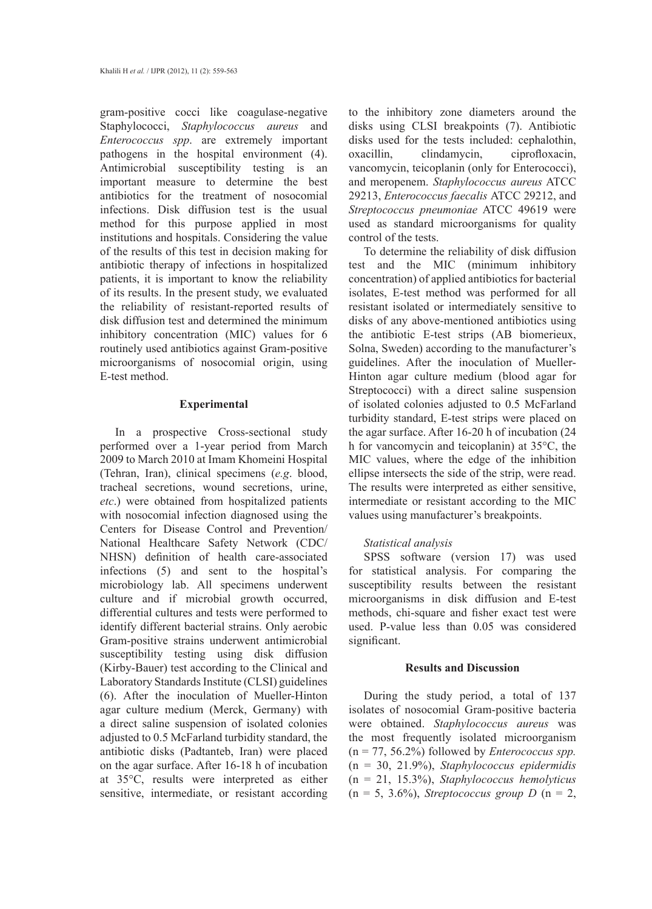gram-positive cocci like coagulase-negative Staphylococci, *Staphylococcus aureus* and *Enterococcus spp*. are extremely important pathogens in the hospital environment (4). Antimicrobial susceptibility testing is an important measure to determine the best antibiotics for the treatment of nosocomial infections. Disk diffusion test is the usual method for this purpose applied in most institutions and hospitals. Considering the value of the results of this test in decision making for antibiotic therapy of infections in hospitalized patients, it is important to know the reliability of its results. In the present study, we evaluated the reliability of resistant-reported results of disk diffusion test and determined the minimum inhibitory concentration (MIC) values for 6 routinely used antibiotics against Gram-positive microorganisms of nosocomial origin, using E-test method.

# **Experimental**

In a prospective Cross-sectional study performed over a 1-year period from March 2009 to March 2010 at Imam Khomeini Hospital (Tehran, Iran), clinical specimens (*e.g*. blood, tracheal secretions, wound secretions, urine, *etc*.) were obtained from hospitalized patients with nosocomial infection diagnosed using the Centers for Disease Control and Prevention/ National Healthcare Safety Network (CDC/ NHSN) definition of health care-associated infections (5) and sent to the hospital's microbiology lab. All specimens underwent culture and if microbial growth occurred, differential cultures and tests were performed to identify different bacterial strains. Only aerobic Gram-positive strains underwent antimicrobial susceptibility testing using disk diffusion (Kirby-Bauer) test according to the Clinical and Laboratory Standards Institute (CLSI) guidelines (6). After the inoculation of Mueller-Hinton agar culture medium (Merck, Germany) with a direct saline suspension of isolated colonies adjusted to 0.5 McFarland turbidity standard, the antibiotic disks (Padtanteb, Iran) were placed on the agar surface. After 16-18 h of incubation at 35°C, results were interpreted as either sensitive, intermediate, or resistant according to the inhibitory zone diameters around the disks using CLSI breakpoints (7). Antibiotic disks used for the tests included: cephalothin, oxacillin, clindamycin, ciprofloxacin, vancomycin, teicoplanin (only for Enterococci), and meropenem. *Staphylococcus aureus* ATCC 29213, *Enterococcus faecalis* ATCC 29212, and *Streptococcus pneumoniae* ATCC 49619 were used as standard microorganisms for quality control of the tests.

To determine the reliability of disk diffusion test and the MIC (minimum inhibitory concentration) of applied antibiotics for bacterial isolates, E-test method was performed for all resistant isolated or intermediately sensitive to disks of any above-mentioned antibiotics using the antibiotic E-test strips (AB biomerieux, Solna, Sweden) according to the manufacturer's guidelines. After the inoculation of Mueller-Hinton agar culture medium (blood agar for Streptococci) with a direct saline suspension of isolated colonies adjusted to 0.5 McFarland turbidity standard, E-test strips were placed on the agar surface. After 16-20 h of incubation (24 h for vancomycin and teicoplanin) at 35°C, the MIC values, where the edge of the inhibition ellipse intersects the side of the strip, were read. The results were interpreted as either sensitive, intermediate or resistant according to the MIC values using manufacturer's breakpoints.

## *Statistical analysis*

SPSS software (version 17) was used for statistical analysis. For comparing the susceptibility results between the resistant microorganisms in disk diffusion and E-test methods, chi-square and fisher exact test were used. P-value less than 0.05 was considered significant.

## **Results and Discussion**

During the study period, a total of 137 isolates of nosocomial Gram-positive bacteria were obtained. *Staphylococcus aureus* was the most frequently isolated microorganism (n = 77, 56.2%) followed by *Enterococcus spp.* (n = 30, 21.9%), *Staphylococcus epidermidis* (n = 21, 15.3%), *Staphylococcus hemolyticus*  $(n = 5, 3.6\%)$ , *Streptococcus group D*  $(n = 2,$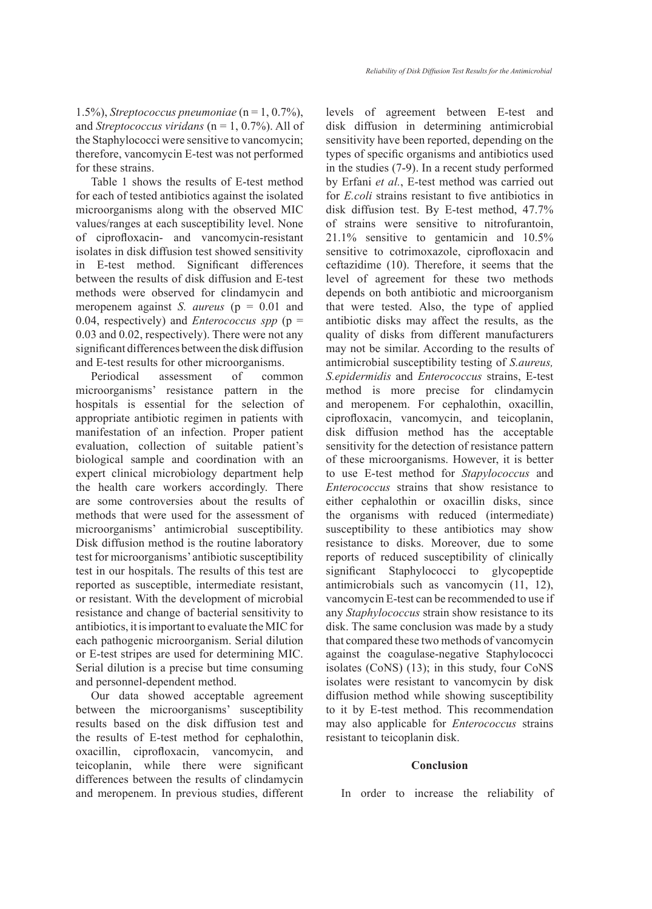Table 1 shows the results of E-test method for each of tested antibiotics against the isolated microorganisms along with the observed MIC values/ranges at each susceptibility level. None of ciprofloxacin- and vancomycin-resistant isolates in disk diffusion test showed sensitivity in E-test method. Significant differences between the results of disk diffusion and E-test methods were observed for clindamycin and meropenem against *S. aureus* ( $p = 0.01$  and 0.04, respectively) and *Enterococcus spp* (p = 0.03 and 0.02, respectively). There were not any significant differences between the disk diffusion and E-test results for other microorganisms.

Periodical assessment of common microorganisms' resistance pattern in the hospitals is essential for the selection of appropriate antibiotic regimen in patients with manifestation of an infection. Proper patient evaluation, collection of suitable patient's biological sample and coordination with an expert clinical microbiology department help the health care workers accordingly. There are some controversies about the results of methods that were used for the assessment of microorganisms' antimicrobial susceptibility. Disk diffusion method is the routine laboratory test for microorganisms' antibiotic susceptibility test in our hospitals. The results of this test are reported as susceptible, intermediate resistant, or resistant. With the development of microbial resistance and change of bacterial sensitivity to antibiotics, it is important to evaluate the MIC for each pathogenic microorganism. Serial dilution or E-test stripes are used for determining MIC. Serial dilution is a precise but time consuming and personnel-dependent method.

Our data showed acceptable agreement between the microorganisms' susceptibility results based on the disk diffusion test and the results of E-test method for cephalothin, oxacillin, ciprofloxacin, vancomycin, and teicoplanin, while there were significant differences between the results of clindamycin and meropenem. In previous studies, different levels of agreement between E-test and disk diffusion in determining antimicrobial sensitivity have been reported, depending on the types of specific organisms and antibiotics used in the studies (7-9). In a recent study performed by Erfani *et al.*, E-test method was carried out for *E.coli* strains resistant to five antibiotics in disk diffusion test. By E-test method, 47.7% of strains were sensitive to nitrofurantoin, 21.1% sensitive to gentamicin and 10.5% sensitive to cotrimoxazole, ciprofloxacin and ceftazidime (10). Therefore, it seems that the level of agreement for these two methods depends on both antibiotic and microorganism that were tested. Also, the type of applied antibiotic disks may affect the results, as the quality of disks from different manufacturers may not be similar. According to the results of antimicrobial susceptibility testing of *S.aureus, S.epidermidis* and *Enterococcus* strains, E-test method is more precise for clindamycin and meropenem. For cephalothin, oxacillin, ciprofloxacin, vancomycin, and teicoplanin, disk diffusion method has the acceptable sensitivity for the detection of resistance pattern of these microorganisms. However, it is better to use E-test method for *Stapylococcus* and *Enterococcus* strains that show resistance to either cephalothin or oxacillin disks, since the organisms with reduced (intermediate) susceptibility to these antibiotics may show resistance to disks. Moreover, due to some reports of reduced susceptibility of clinically significant Staphylococci to glycopeptide antimicrobials such as vancomycin (11, 12), vancomycin E-test can be recommended to use if any *Staphylococcus* strain show resistance to its disk. The same conclusion was made by a study that compared these two methods of vancomycin against the coagulase-negative Staphylococci isolates (CoNS) (13); in this study, four CoNS isolates were resistant to vancomycin by disk diffusion method while showing susceptibility to it by E-test method. This recommendation may also applicable for *Enterococcus* strains resistant to teicoplanin disk.

#### **Conclusion**

In order to increase the reliability of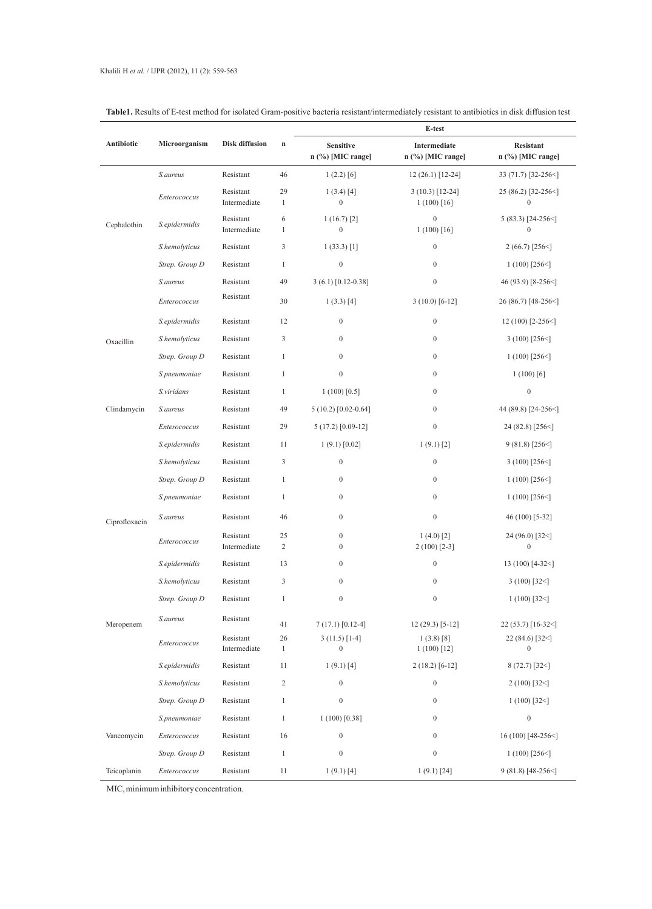# Khalili H *et al.* / IJPR (2012), 11 (2): 559-563

|               |                |                           |                      | E-test                                  |                                    |                                         |
|---------------|----------------|---------------------------|----------------------|-----------------------------------------|------------------------------------|-----------------------------------------|
| Antibiotic    | Microorganism  | <b>Disk diffusion</b>     | $\mathbf n$          | <b>Sensitive</b><br>$n$ (%) [MIC range] | Intermediate<br>n (%) [MIC range]  | <b>Resistant</b><br>$n$ (%) [MIC range] |
|               | S.aureus       | Resistant                 | 46                   | 1(2.2) [6]                              | $12(26.1)$ [12-24]                 | 33 (71.7) [32-256<]                     |
|               | Enterococcus   | Resistant<br>Intermediate | 29<br>$\mathbf{1}$   | $1(3.4)$ [4]<br>$\boldsymbol{0}$        | $3(10.3)$ [12-24]<br>$1(100)$ [16] | 25 (86.2) [32-256<]<br>$\boldsymbol{0}$ |
| Cephalothin   | S.epidermidis  | Resistant<br>Intermediate | 6<br>$\mathbf{1}$    | 1(16.7)[2]<br>$\boldsymbol{0}$          | $\boldsymbol{0}$<br>$1(100)$ [16]  | $5(83.3)$ [24-256<]<br>$\mathbf{0}$     |
|               | S.hemolyticus  | Resistant                 | 3                    | 1(33.3)[1]                              | $\boldsymbol{0}$                   | $2(66.7)$ [256 \cdot                    |
|               | Strep. Group D | Resistant                 | $\mathbf{1}$         | $\boldsymbol{0}$                        | $\mathbf{0}$                       | $1(100)$ [256<]                         |
|               | S.aureus       | Resistant                 | 49                   | $3(6.1) [0.12-0.38]$                    | $\boldsymbol{0}$                   | 46 (93.9) $[8-256<]$                    |
|               | Enterococcus   | Resistant                 | 30                   | 1(3.3) [4]                              | $3(10.0)$ [6-12]                   | 26 (86.7) [48-256<]                     |
|               | S.epidermidis  | Resistant                 | 12                   | $\boldsymbol{0}$                        | $\boldsymbol{0}$                   | 12 (100) [2-256<]                       |
| Oxacillin     | S.hemolyticus  | Resistant                 | 3                    | $\mathbf{0}$                            | $\boldsymbol{0}$                   | $3(100)$ [256 $\leq$ ]                  |
|               | Strep. Group D | Resistant                 | $\mathbf{1}$         | $\mathbf{0}$                            | $\mathbf{0}$                       | $1(100)$ [256<]                         |
|               | S.pneumoniae   | Resistant                 | $\mathbf{1}$         | $\boldsymbol{0}$                        | $\mathbf{0}$                       | $1(100)$ [6]                            |
|               | S.viridans     | Resistant                 | $\mathbf{1}$         | $1(100)$ [0.5]                          | $\mathbf{0}$                       | $\boldsymbol{0}$                        |
| Clindamycin   | S.aureus       | Resistant                 | 49                   | $5(10.2)$ [0.02-0.64]                   | $\mathbf{0}$                       | 44 (89.8) [24-256<]                     |
|               | Enterococcus   | Resistant                 | 29                   | $5(17.2)$ [0.09-12]                     | $\boldsymbol{0}$                   | $24(82.8)$ [256<]                       |
|               | S.epidermidis  | Resistant                 | 11                   | 1(9.1) [0.02]                           | $1(9.1)$ [2]                       | $9(81.8)$ [256<]                        |
|               | S.hemolyticus  | Resistant                 | 3                    | $\boldsymbol{0}$                        | $\mathbf{0}$                       | $3(100)$ [256<]                         |
|               | Strep. Group D | Resistant                 | $\mathbf{1}$         | $\mathbf{0}$                            | $\boldsymbol{0}$                   | $1(100)$ [256<]                         |
|               | S.pneumoniae   | Resistant                 | $\mathbf{1}$         | $\boldsymbol{0}$                        | $\boldsymbol{0}$                   | $1(100)$ [256 <]                        |
| Ciprofloxacin | S.aureus       | Resistant                 | 46                   | $\boldsymbol{0}$                        | $\boldsymbol{0}$                   | 46 (100) [5-32]                         |
|               | Enterococcus   | Resistant<br>Intermediate | 25<br>$\overline{c}$ | $\boldsymbol{0}$<br>$\boldsymbol{0}$    | $1(4.0)$ [2]<br>$2(100)$ [2-3]     | 24 (96.0) [32<]<br>$\boldsymbol{0}$     |
|               | S.epidermidis  | Resistant                 | 13                   | $\boldsymbol{0}$                        | $\boldsymbol{0}$                   | 13 (100) [4-32<]                        |
|               | S.hemolyticus  | Resistant                 | 3                    | $\boldsymbol{0}$                        | $\boldsymbol{0}$                   | $3(100)$ [32<]                          |
|               | Strep. Group D | Resistant                 | 1                    | $\mathbf{0}$                            | $\boldsymbol{0}$                   | $1(100)$ [32<]                          |
| Meropenem     | S.aureus       | Resistant                 | 41                   | $7(17.1)$ [0.12-4]                      | $12(29.3)$ [5-12]                  | $22(53.7)$ [16-32<]                     |
|               | Enterococcus   | Resistant                 | 26                   | $3(11.5)$ [1-4]                         | $1(3.8)$ [8]                       | 22 (84.6) [32<]                         |
|               |                | Intermediate              | $\mathbf{1}$         | $\boldsymbol{0}$                        | $1(100)$ [12]                      | $\boldsymbol{0}$                        |
|               | S.epidermidis  | Resistant                 | 11                   | $1(9.1)$ [4]                            | $2(18.2)$ [6-12]                   | $8(72.7)$ [32 \]                        |
|               | S.hemolyticus  | Resistant                 | $\mathbf{2}$         | $\boldsymbol{0}$                        | $\boldsymbol{0}$                   | $2(100)$ [32<]                          |
|               | Strep. Group D | Resistant                 | $\mathbf{1}$         | $\boldsymbol{0}$                        | $\mathbf{0}$                       | $1(100)$ [32<]                          |
|               | S.pneumoniae   | Resistant                 | $\mathbf{1}$         | $1(100)$ [0.38]                         | $\mathbf{0}$                       | $\boldsymbol{0}$                        |
| Vancomycin    | Enterococcus   | Resistant                 | 16                   | $\boldsymbol{0}$                        | $\mathbf{0}$                       | $16(100)$ [48-256<]                     |
|               | Strep. Group D | Resistant                 | $\mathbf{1}$         | $\boldsymbol{0}$                        | $\mathbf{0}$                       | $1(100)$ [256<]                         |
| Teicoplanin   | Enterococcus   | Resistant                 | 11                   | 1(9.1) [4]                              | $1(9.1)$ [24]                      | $9(81.8)$ [48-256<]                     |

**Table1.** Results of E-test method for isolated Gram-positive bacteria resistant/intermediately resistant to antibiotics in disk diffusion test

MIC, minimum inhibitory concentration.